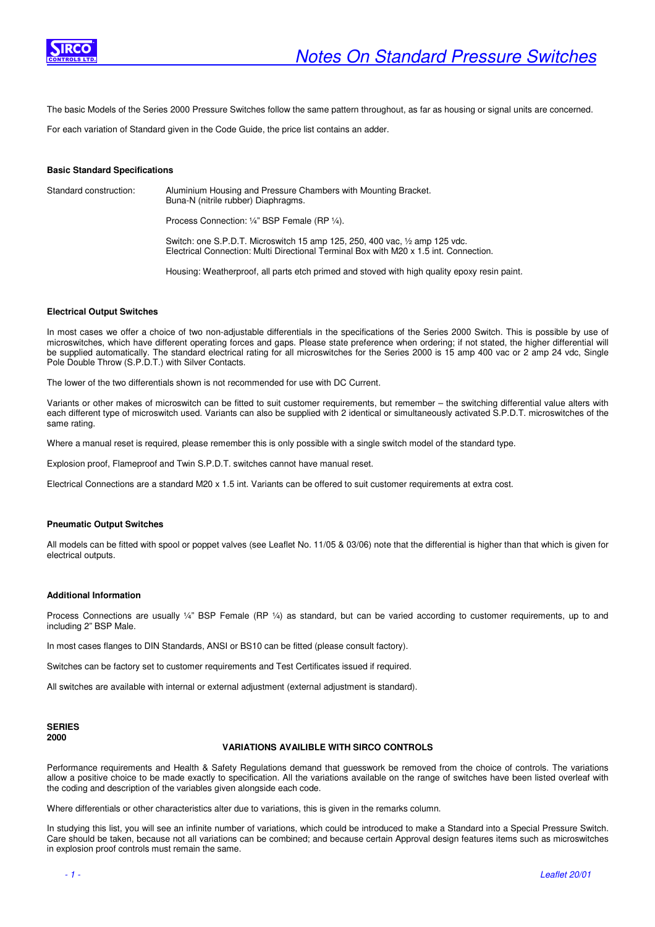

The basic Models of the Series 2000 Pressure Switches follow the same pattern throughout, as far as housing or signal units are concerned.

For each variation of Standard given in the Code Guide, the price list contains an adder.

## **Basic Standard Specifications**

Standard construction: Aluminium Housing and Pressure Chambers with Mounting Bracket. Buna-N (nitrile rubber) Diaphragms.

Process Connection: ¼" BSP Female (RP ¼).

 Switch: one S.P.D.T. Microswitch 15 amp 125, 250, 400 vac, ½ amp 125 vdc. Electrical Connection: Multi Directional Terminal Box with M20 x 1.5 int. Connection.

Housing: Weatherproof, all parts etch primed and stoved with high quality epoxy resin paint.

# **Electrical Output Switches**

In most cases we offer a choice of two non-adjustable differentials in the specifications of the Series 2000 Switch. This is possible by use of microswitches, which have different operating forces and gaps. Please state preference when ordering; if not stated, the higher differential will be supplied automatically. The standard electrical rating for all microswitches for the Series 2000 is 15 amp 400 vac or 2 amp 24 vdc, Single Pole Double Throw (S.P.D.T.) with Silver Contacts.

The lower of the two differentials shown is not recommended for use with DC Current.

Variants or other makes of microswitch can be fitted to suit customer requirements, but remember – the switching differential value alters with each different type of microswitch used. Variants can also be supplied with 2 identical or simultaneously activated S.P.D.T. microswitches of the same rating.

Where a manual reset is required, please remember this is only possible with a single switch model of the standard type.

Explosion proof, Flameproof and Twin S.P.D.T. switches cannot have manual reset.

Electrical Connections are a standard M20 x 1.5 int. Variants can be offered to suit customer requirements at extra cost.

### **Pneumatic Output Switches**

All models can be fitted with spool or poppet valves (see Leaflet No. 11/05 & 03/06) note that the differential is higher than that which is given for electrical outputs.

#### **Additional Information**

Process Connections are usually ¼" BSP Female (RP ¼) as standard, but can be varied according to customer requirements, up to and including 2" BSP Male.

In most cases flanges to DIN Standards, ANSI or BS10 can be fitted (please consult factory).

Switches can be factory set to customer requirements and Test Certificates issued if required.

All switches are available with internal or external adjustment (external adjustment is standard).

# **SERIES 2000**

## **VARIATIONS AVAILIBLE WITH SIRCO CONTROLS**

Performance requirements and Health & Safety Regulations demand that guesswork be removed from the choice of controls. The variations allow a positive choice to be made exactly to specification. All the variations available on the range of switches have been listed overleaf with the coding and description of the variables given alongside each code.

Where differentials or other characteristics alter due to variations, this is given in the remarks column.

In studying this list, you will see an infinite number of variations, which could be introduced to make a Standard into a Special Pressure Switch. Care should be taken, because not all variations can be combined; and because certain Approval design features items such as microswitches in explosion proof controls must remain the same.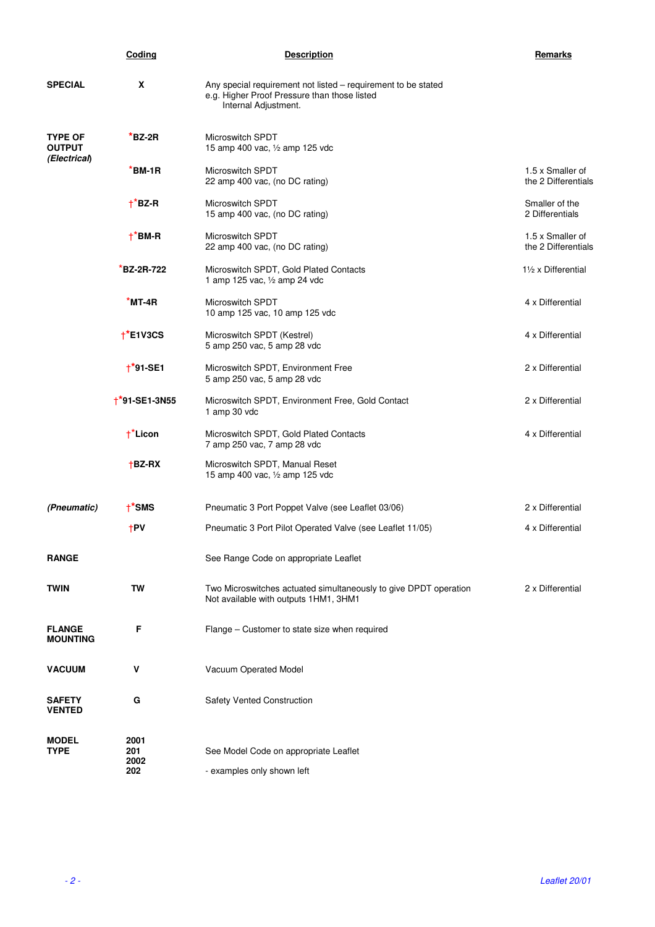|                                                 | Coding                | <b>Description</b>                                                                                                                    | Remarks                                 |
|-------------------------------------------------|-----------------------|---------------------------------------------------------------------------------------------------------------------------------------|-----------------------------------------|
| <b>SPECIAL</b>                                  | X                     | Any special requirement not listed - requirement to be stated<br>e.g. Higher Proof Pressure than those listed<br>Internal Adjustment. |                                         |
| <b>TYPE OF</b><br><b>OUTPUT</b><br>(Electrical) | *BZ-2R                | Microswitch SPDT<br>15 amp 400 vac, 1/2 amp 125 vdc                                                                                   |                                         |
|                                                 | *BM-1R                | Microswitch SPDT<br>22 amp 400 vac, (no DC rating)                                                                                    | 1.5 x Smaller of<br>the 2 Differentials |
|                                                 | $\uparrow$ *BZ-R      | Microswitch SPDT<br>15 amp 400 vac, (no DC rating)                                                                                    | Smaller of the<br>2 Differentials       |
|                                                 | $+$ <sup>*</sup> BM-R | <b>Microswitch SPDT</b><br>22 amp 400 vac, (no DC rating)                                                                             | 1.5 x Smaller of<br>the 2 Differentials |
|                                                 | <b>BZ-2R-722</b>      | Microswitch SPDT, Gold Plated Contacts<br>1 amp 125 vac, 1/2 amp 24 vdc                                                               | 11/2 x Differential                     |
|                                                 | *MT-4R                | <b>Microswitch SPDT</b><br>10 amp 125 vac, 10 amp 125 vdc                                                                             | 4 x Differential                        |
|                                                 | $+$ *E1V3CS           | Microswitch SPDT (Kestrel)<br>5 amp 250 vac, 5 amp 28 vdc                                                                             | 4 x Differential                        |
|                                                 | $+$ *91-SE1           | Microswitch SPDT, Environment Free<br>5 amp 250 vac, 5 amp 28 vdc                                                                     | 2 x Differential                        |
|                                                 | $+$ *91-SE1-3N55      | Microswitch SPDT, Environment Free, Gold Contact<br>1 amp 30 vdc                                                                      | 2 x Differential                        |
|                                                 | $\uparrow$ Licon      | Microswitch SPDT, Gold Plated Contacts<br>7 amp 250 vac, 7 amp 28 vdc                                                                 | 4 x Differential                        |
|                                                 | $†$ BZ-RX             | Microswitch SPDT, Manual Reset<br>15 amp 400 vac, 1/2 amp 125 vdc                                                                     |                                         |
| (Pneumatic)                                     | $+$ <sup>*</sup> SMS  | Pneumatic 3 Port Poppet Valve (see Leaflet 03/06)                                                                                     | 2 x Differential                        |
|                                                 | $+PV$                 | Pneumatic 3 Port Pilot Operated Valve (see Leaflet 11/05)                                                                             | 4 x Differential                        |
| <b>RANGE</b>                                    |                       | See Range Code on appropriate Leaflet                                                                                                 |                                         |
| TWIN                                            | TW                    | Two Microswitches actuated simultaneously to give DPDT operation<br>Not available with outputs 1HM1, 3HM1                             | 2 x Differential                        |
| <b>FLANGE</b><br><b>MOUNTING</b>                | F                     | Flange – Customer to state size when required                                                                                         |                                         |
| <b>VACUUM</b>                                   | V                     | Vacuum Operated Model                                                                                                                 |                                         |
| <b>SAFETY</b><br><b>VENTED</b>                  | G                     | Safety Vented Construction                                                                                                            |                                         |
| <b>MODEL</b><br>TYPE                            | 2001<br>201<br>2002   | See Model Code on appropriate Leaflet                                                                                                 |                                         |
|                                                 | 202                   | - examples only shown left                                                                                                            |                                         |